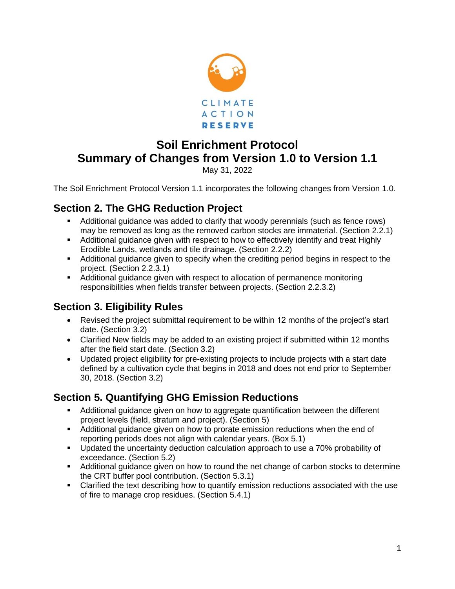

# **Soil Enrichment Protocol Summary of Changes from Version 1.0 to Version 1.1**

May 31, 2022

The Soil Enrichment Protocol Version 1.1 incorporates the following changes from Version 1.0.

# **Section 2. The GHG Reduction Project**

- **E** Additional guidance was added to clarify that woody perennials (such as fence rows) may be removed as long as the removed carbon stocks are immaterial. (Section 2.2.1)
- **E** Additional guidance given with respect to how to effectively identify and treat Highly Erodible Lands, wetlands and tile drainage. (Section 2.2.2)
- Additional guidance given to specify when the crediting period begins in respect to the project. (Section 2.2.3.1)
- Additional guidance given with respect to allocation of permanence monitoring responsibilities when fields transfer between projects. (Section 2.2.3.2)

# **Section 3. Eligibility Rules**

- Revised the project submittal requirement to be within 12 months of the project's start date. (Section 3.2)
- Clarified New fields may be added to an existing project if submitted within 12 months after the field start date. (Section 3.2)
- Updated project eligibility for pre-existing projects to include projects with a start date defined by a cultivation cycle that begins in 2018 and does not end prior to September 30, 2018. (Section 3.2)

# **Section 5. Quantifying GHG Emission Reductions**

- Additional guidance given on how to aggregate quantification between the different project levels (field, stratum and project). (Section 5)
- Additional guidance given on how to prorate emission reductions when the end of reporting periods does not align with calendar years. (Box 5.1)
- Updated the uncertainty deduction calculation approach to use a 70% probability of exceedance. (Section 5.2)
- Additional guidance given on how to round the net change of carbon stocks to determine the CRT buffer pool contribution. (Section 5.3.1)
- **•** Clarified the text describing how to quantify emission reductions associated with the use of fire to manage crop residues. (Section 5.4.1)